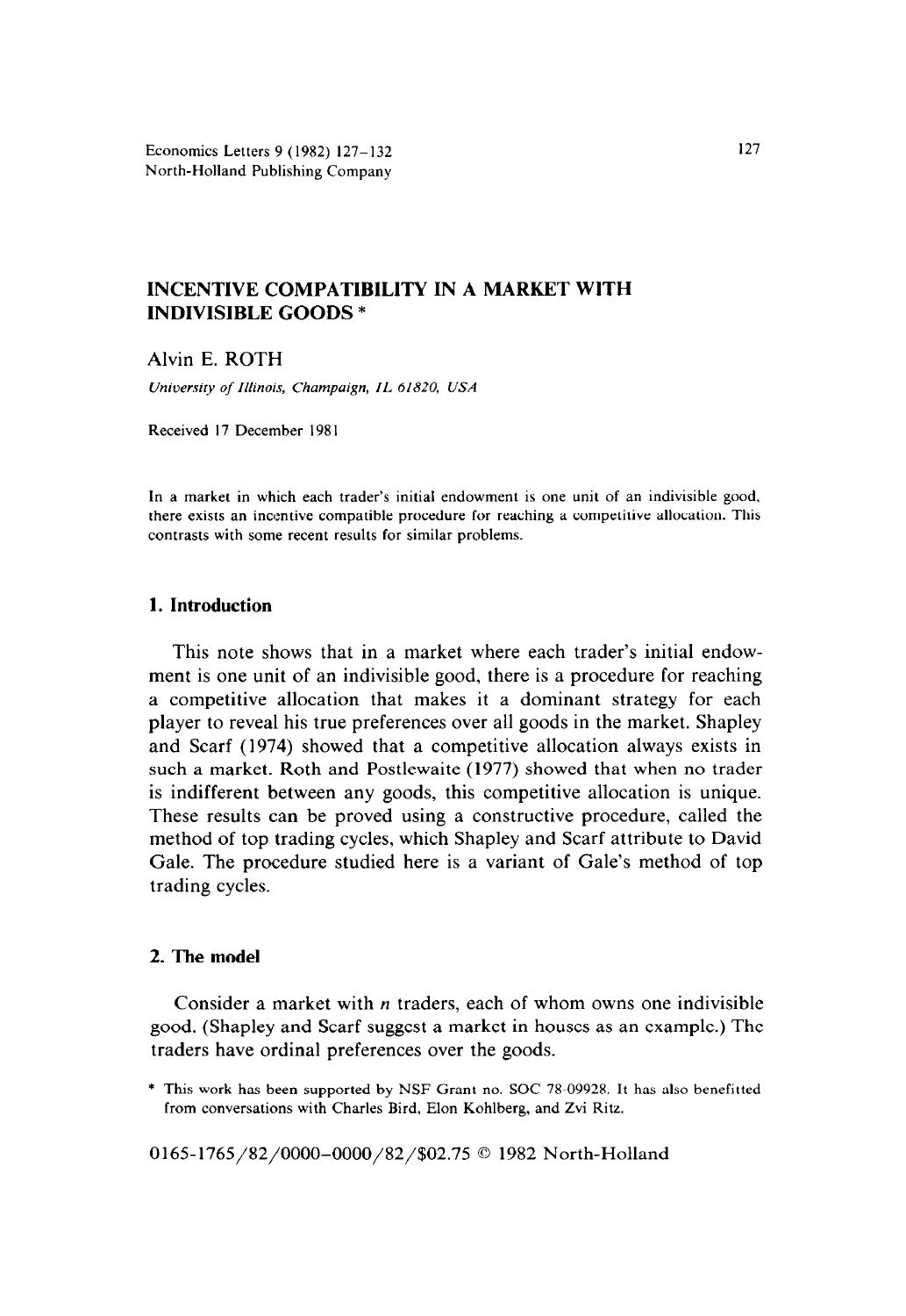Economics Letters 9 (1982) 127- 132 North-Holland Publishing Company

# **INCENTIVE COMPATIBILITY IN A MARKET WITH INDIVISIBLE GOODS \***

Alvin E. ROTH

*University of Illinois, Champaign, IL. 61820, USA* 

Received 17 December 198 I

In a market in which each trader's initial endowment is one unit of an indivisible good, there exists an incentive compatible procedure for reaching a competitive allocation. This contrasts with some recent results for similar problems.

# **I. Introduction**

This note shows that in a market where each trader's initial endowment is one unit of an indivisible good, there is a procedure for reaching a competitive allocation that makes it a dominant strategy for each player to reveal his true preferences over all goods in the market. Shapley and Scarf (1974) showed that a competitive allocation always exists in such a market. Roth and Postlewaite (1977) showed that when no trader is indifferent between any goods, this competitive allocation is unique. These results can be proved using a constructive procedure, called the method of top trading cycles, which Shapley and Scarf attribute to David Gale. The procedure studied here is a variant of Gale's method of top trading cycles.

# **2. The model**

Consider a market with n traders, each of whom owns one indivisible good. (Shapley and Scarf suggest a market in houses as an example.) The traders have ordinal preferences over the goods.

0165-1765/82/0000-0000/82/\$02.75 © 1982 North-Holland

<sup>\*</sup> This **work** has been supported by NSF Grant no. SOC 78-09928. It has also benefitted from conversations with Charles Bird, Elon Kohlberg, and Zvi Ritz.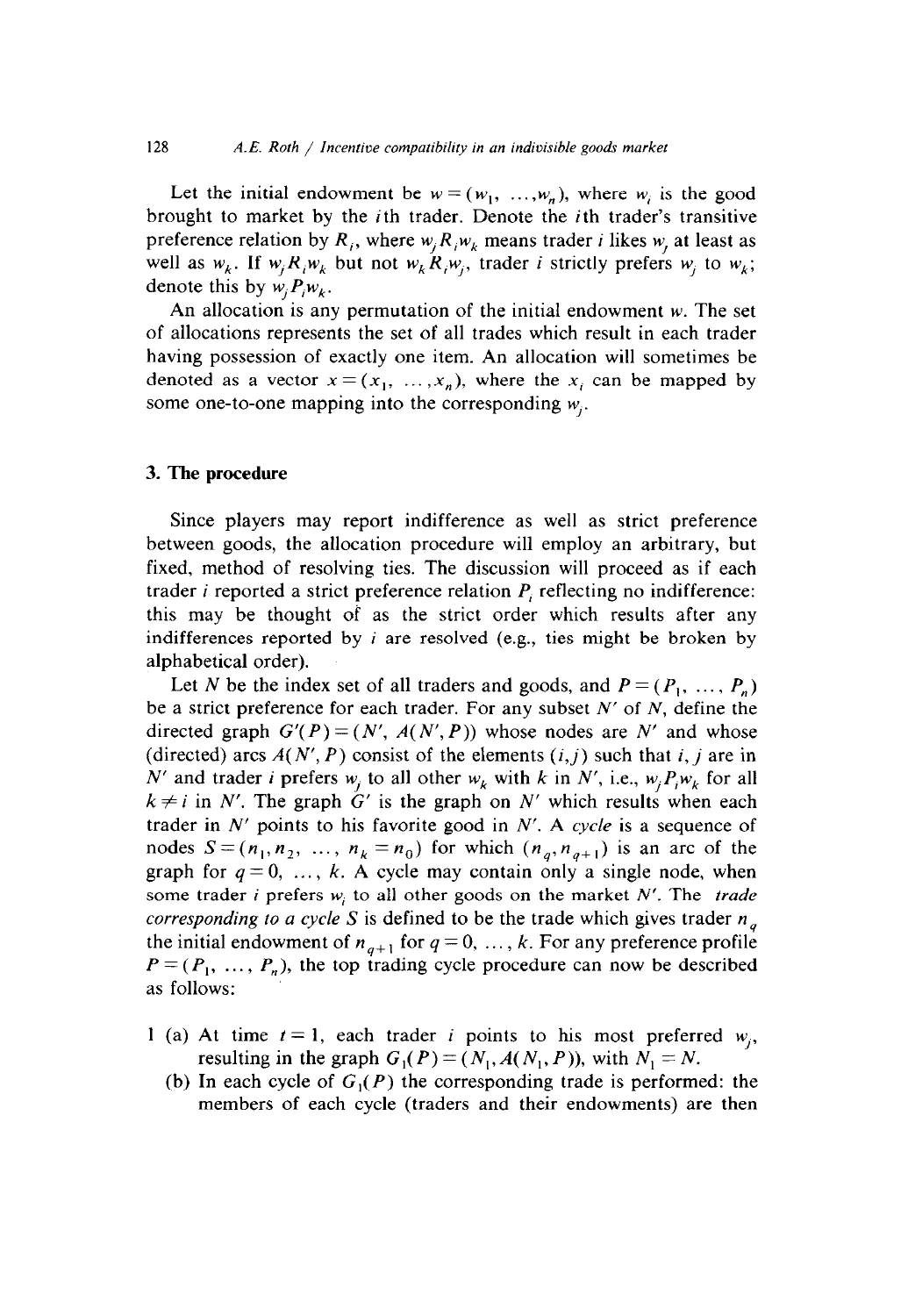Let the initial endowment be  $w = (w_1, ..., w_n)$ , where w<sub>i</sub> is the good brought to market by the ith trader. Denote the ith trader's transitive preference relation by  $R_i$ , where  $w_i R_i w_k$  means trader *i* likes  $w_i$ , at least as well as  $w_k$ . If  $w_i R_i w_k$  but not  $w_k R_i w_i$ , trader *i* strictly prefers  $w_i$  to  $w_k$ ; denote this by  $w_i P_i w_k$ .

An allocation is any permutation of the initial endowment w. The set of allocations represents the set of all trades which result in each trader having possession of exactly one item. An allocation will sometimes be denoted as a vector  $x = (x_1, \ldots, x_n)$ , where the  $x_i$  can be mapped by some one-to-one mapping into the corresponding  $w_i$ .

#### 3. The **procedure**

Since players may report indifference as well as strict preference between goods, the allocation procedure will employ an arbitrary, but fixed, method of resolving ties. The discussion will proceed as if each trader *i* reported a strict preference relation *P,* reflecting no indifference: this may be thought of as the strict order which results after any indifferences reported by *i* are resolved (e.g., ties might be broken by alphabetical order).

Let N be the index set of all traders and goods, and  $P = (P_1, \ldots, P_n)$ be a strict preference for each trader. For any subset  $N'$  of  $N$ , define the directed graph  $G'(P) = (N', A(N', P))$  whose nodes are N' and whose (directed) arcs  $A(N', P)$  consist of the elements  $(i, j)$  such that i, j are in N' and trader *i* prefers  $w_i$  to all other  $w_k$  with *k* in N', i.e.,  $w_i P_i w_k$  for all  $k \neq i$  in N'. The graph  $G'$  is the graph on N' which results when each trader in  $N'$  points to his favorite good in  $N'$ . A cycle is a sequence of nodes  $S=(n_1,n_2, ..., n_k =n_0)$  for which  $(n_q,n_{q+1})$  is an arc of the graph for  $q=0, \ldots, k$ . A cycle may contain only a single node, when some trader *i* prefers  $w_i$  to all other goods on the market N'. The *trade corresponding to a cycle S* is defined to be the trade which gives trader  $n_a$ the initial endowment of  $n_{q+1}$  for  $q = 0, \ldots, k$ . For any preference profile  $P=(P_1, \ldots, P_n)$ , the top trading cycle procedure can now be described as follows:

- 1 (a) At time  $t = 1$ , each trader *i* points to his most preferred  $w_i$ , resulting in the graph  $G_1(P) = (N_1, A(N_1, P))$ , with  $N_1 = N$ .
	- (b) In each cycle of  $G_1(P)$  the corresponding trade is performed: the members of each cycle (traders and their endowments) are then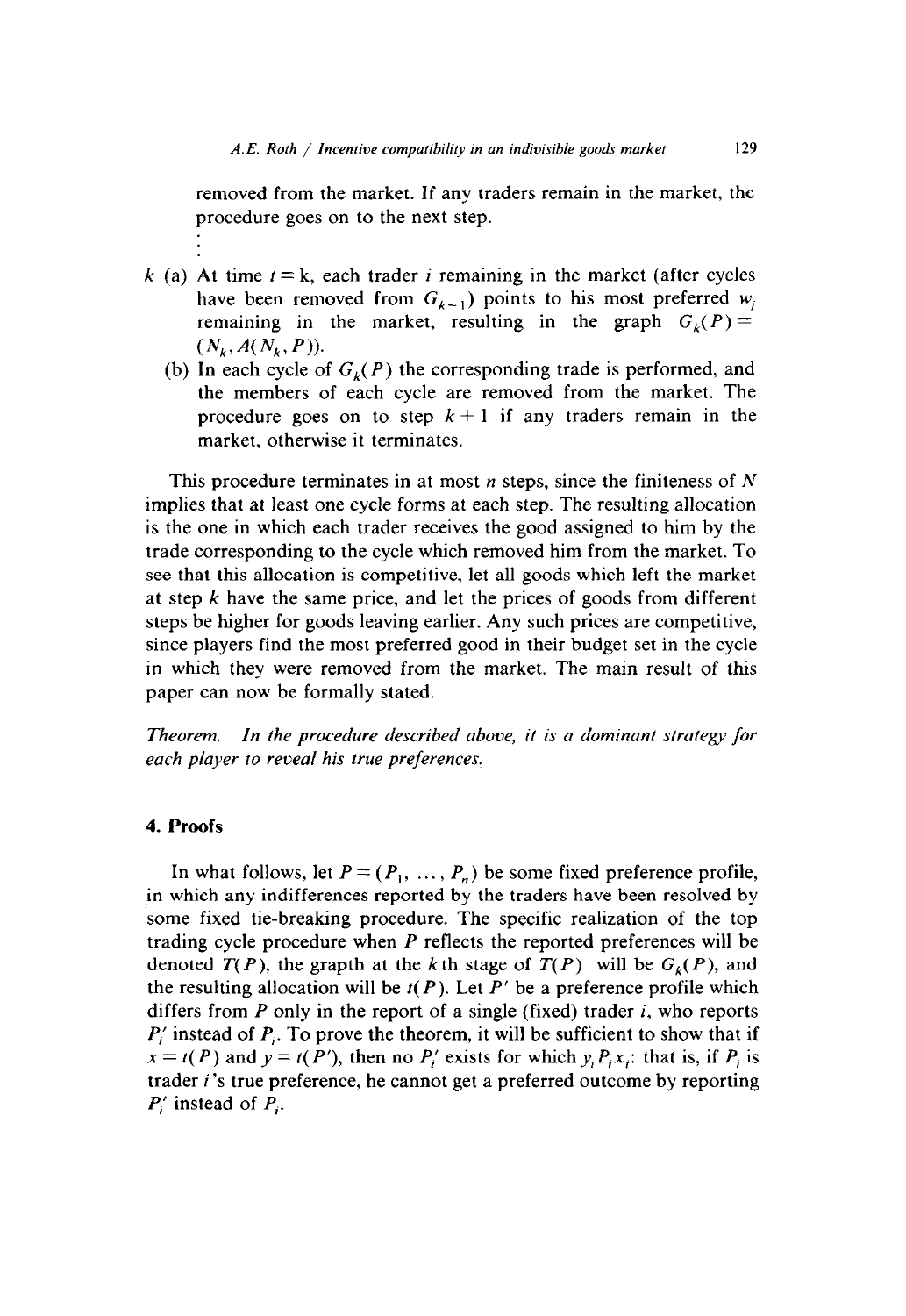removed from the market. If any traders remain in the market, the procedure goes on to the next step.

- k (a) At time  $t = k$ , each trader *i* remaining in the market (after cycles have been removed from  $G_{k-1}$ ) points to his most preferred w<sub>i</sub> remaining in the market, resulting in the graph  $G_{\nu}(P) =$  $(N_k, A(N_k, P)).$ 
	- (b) In each cycle of  $G_k(P)$  the corresponding trade is performed, and the members of each cycle are removed from the market. The procedure goes on to step  $k + 1$  if any traders remain in the market, otherwise it terminates.

This procedure terminates in at most  $n$  steps, since the finiteness of  $N$ implies that at least one cycle forms at each step. The resulting allocation is the one in which each trader receives the good assigned to him by the trade corresponding to the cycle which removed him from the market. To see that this allocation is competitive, let all goods which left the market at step *k* have the same price, and let the prices of goods from different steps be higher for goods leaving earlier. Any such prices are competitive, since players find the most preferred good in their budget set in the cycle in which they were removed from the market. The main result of this paper can now be formally stated.

*Theorem. In the procedure described above, it is a dominant strategy for each player to reveal his true preferences.* 

### *4.* **Proofs**

In what follows, let  $P = (P_1, \ldots, P_n)$  be some fixed preference profile, in which any indifferences reported by the traders have been resolved by some fixed tie-breaking procedure. The specific realization of the top trading cycle procedure when *P* reflects the reported preferences will be denoted  $T(P)$ , the grapth at the k th stage of  $T(P)$  will be  $G_k(P)$ , and the resulting allocation will be  $t(P)$ . Let  $P'$  be a preference profile which differs from *P* only in the report of a single (fixed) trader *i,* who reports *P,'* instead of *P,.* To prove the theorem, it will be sufficient to show that if  $x = t(P)$  and  $y = t(P')$ , then no  $P'_i$  exists for which  $y_i P_i x_i$ ; that is, if  $P_i$  is trader *i 's* true preference, he cannot get a preferred outcome by reporting *P,'* instead of *P,.*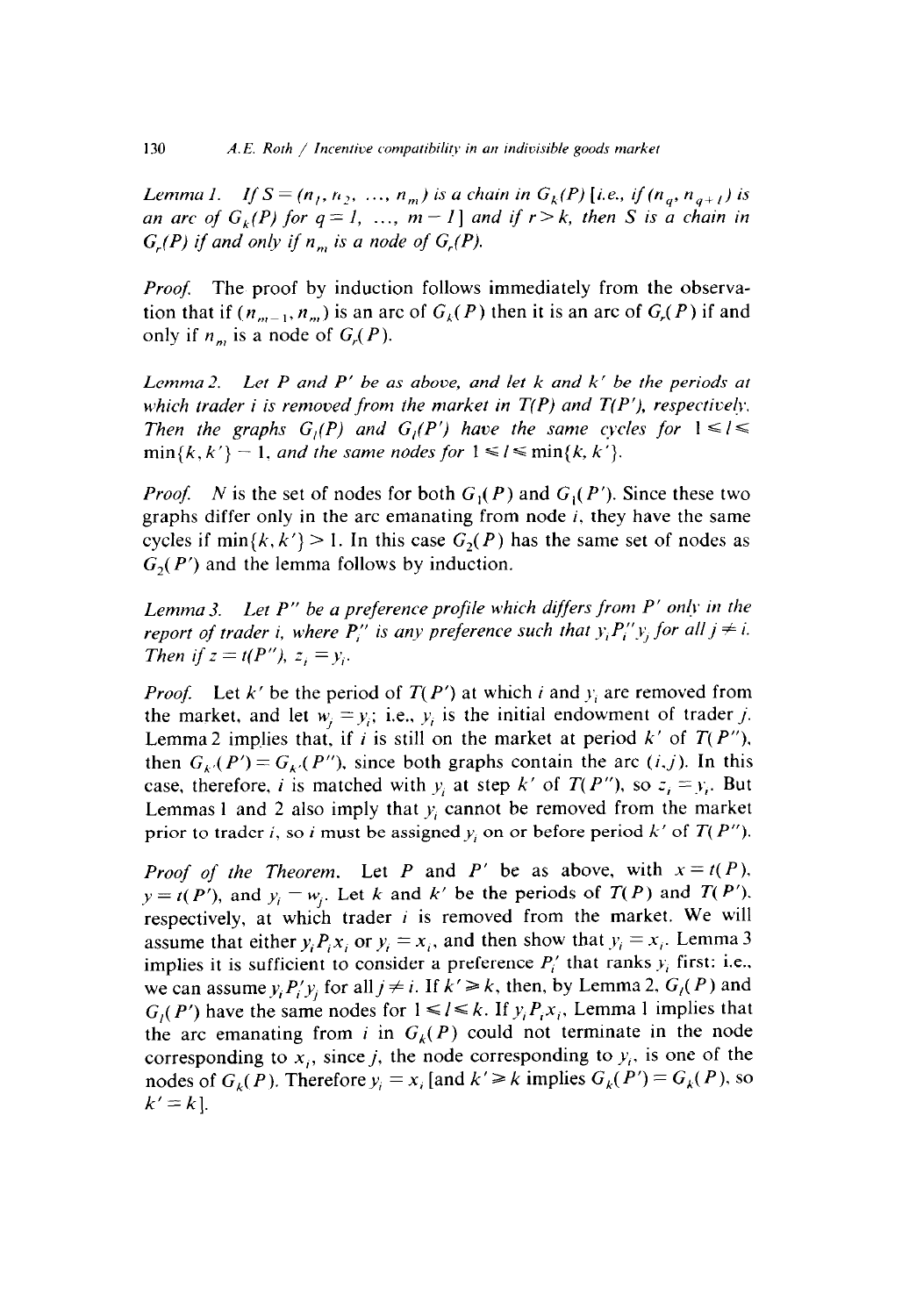*Lemma 1.* If  $S = (n_1, n_2, ..., n_m)$  is a chain in  $G_k(P)$  [i.e., if  $(n_a, n_{a+1})$  is *an arc of*  $G_k(P)$  *for*  $q = 1, ..., m - 1$  *and if*  $r > k$ *, then S is a chain in*  $G_r(P)$  if and only if  $n_m$  is a node of  $G_r(P)$ .

*Proof.* The proof by induction follows immediately from the observation that if  $(n_{m-1}, n_m)$  is an arc of  $G_k(P)$  then it is an arc of  $G_r(P)$  if and only if  $n_m$  is a node of  $G_r(P)$ .

*Lemma 2. Let P and P' be as above, and let k and k' be the periods at*  which trader *i* is removed from the market in  $T(P)$  and  $T(P')$ , respectively. *Then the graphs*  $G_i(P)$  *and*  $G_i(P')$  *have the same cycles for*  $1 \le i \le n$  $\min\{k, k'\} - 1$ , and the same nodes for  $1 \leq l \leq \min\{k, k'\}.$ 

*Proof. N* is the set of nodes for both  $G_1(P)$  and  $G_1(P')$ . Since these two graphs differ only in the arc emanating from node *i,* they have the same cycles if  $\min\{k, k'\} > 1$ . In this case  $G_2(P)$  has the same set of nodes as  $G<sub>2</sub>(P')$  and the lemma follows by induction.

*Lemma 3. Let P" be a preference profile which differs from P' only in the report of trader i, where P'' is any preference such that*  $y_i P''_i y_j$  *for all*  $j \neq i$ *. Then if*  $z = t(P'')$ *,*  $z_i = y_i$ *.* 

*Proof.* Let  $k'$  be the period of  $T(P')$  at which *i* and  $y_i$  are removed from the market, and let  $w_i = y_i$ ; i.e.,  $y_i$  is the initial endowment of trader j. Lemma 2 implies that, if *i* is still on the market at period  $k'$  of  $T(P'')$ , then  $G_{k'}(P') = G_{k'}(P'')$ , since both graphs contain the arc *(i,j)*. In this case, therefore, *i* is matched with  $y_i$  at step  $k'$  of  $T(P'')$ , so  $z_i = y_i$ . But Lemmas 1 and 2 also imply that  $y_i$  cannot be removed from the market prior to trader *i*, so *i* must be assigned  $y_i$  on or before period  $k'$  of  $T(P'')$ .

*Proof of the Theorem.* Let *P* and *P'* be as above, with  $x = t(P)$ .  $y = t(P')$ , and  $y_i = w_i$ . Let *k* and *k'* be the periods of  $T(P)$  and  $T(P')$ . respectively, at which trader *i* is removed from the market. We will assume that either  $y_i P_i x_i$  or  $y_i = x_i$ , and then show that  $y_i = x_i$ . Lemma 3 implies it is sufficient to consider a preference  $P_i'$  that ranks  $y_i$  first: i.e., we can assume  $y_i P'_i y_j$  for all  $j \neq i$ . If  $k' \geq k$ , then, by Lemma 2,  $G_i(P)$  and  $G_i(P')$  have the same nodes for  $1 \le i \le k$ . If  $y_i P_i x_i$ , Lemma 1 implies that the arc emanating from *i* in  $G_k(P)$  could not terminate in the node corresponding to  $x_i$ , since j, the node corresponding to  $y_i$ , is one of the nodes of  $G_k(P)$ . Therefore  $y_i = x_i$  [and  $k' \ge k$  implies  $G_k(P') = G_k(P)$ , so  $k'=k$ ].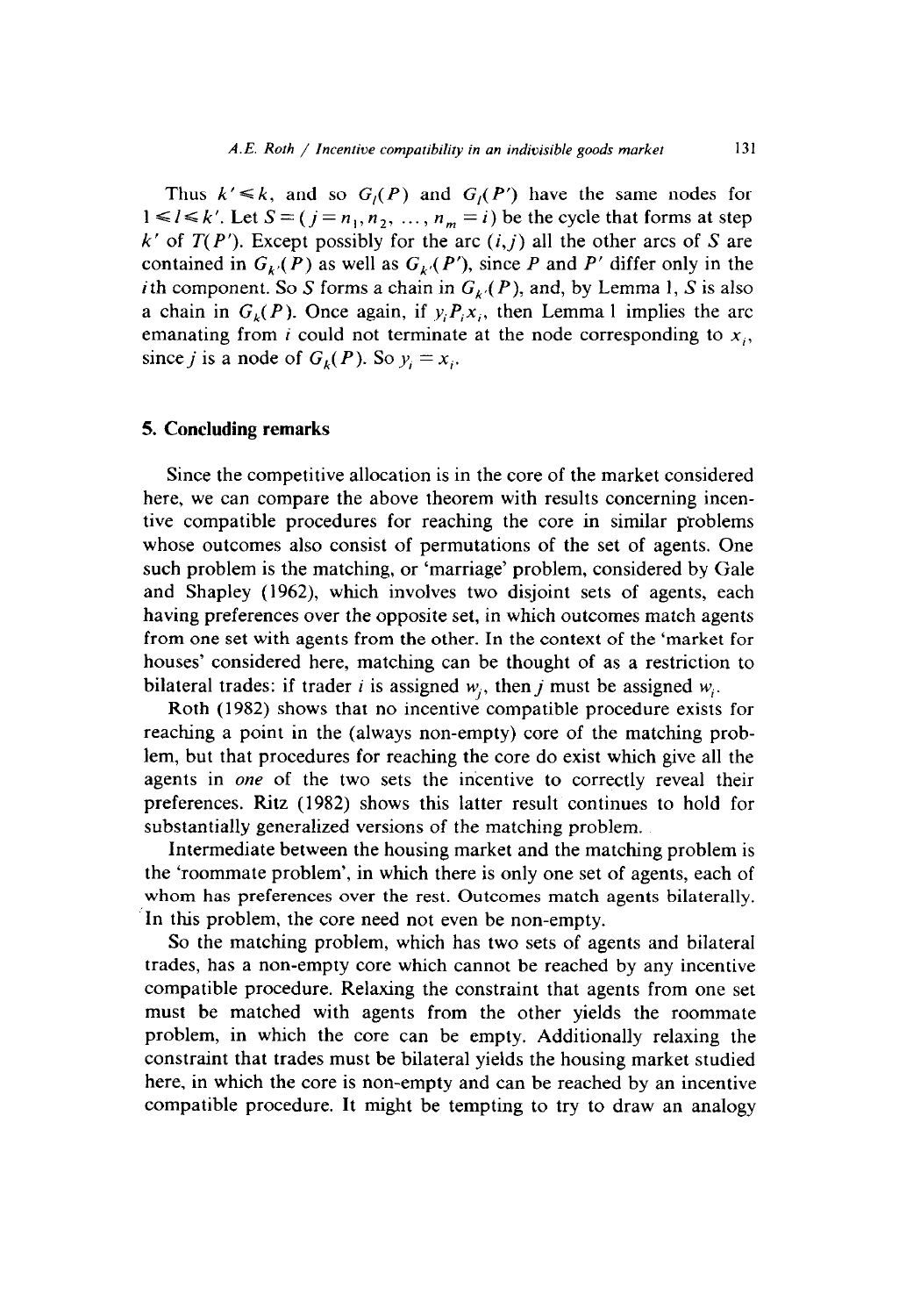Thus  $k' \le k$ , and so  $G_i(P)$  and  $G_i(P')$  have the same nodes for  $1 \leq l \leq k'$ . Let  $S = (j = n_1, n_2, ..., n_m = i)$  be the cycle that forms at step  $k'$  of  $T(P')$ . Except possibly for the arc  $(i, j)$  all the other arcs of S are contained in  $G_k(P)$  as well as  $G_k(P')$ , since *P* and *P'* differ only in the i th component. So S forms a chain in  $G_k(P)$ , and, by Lemma 1, S is also a chain in  $G_k(P)$ . Once again, if  $y_i P_i x_i$ , then Lemma 1 implies the arc emanating from i could not terminate at the node corresponding to  $x_i$ , since *j* is a node of  $G_k(P)$ . So  $y_i = x_i$ .

#### 5. **Concluding remarks**

Since the competitive allocation is in the core of the market considered here, we can compare the above theorem with results concerning incentive compatible procedures for reaching the core in similar problems whose outcomes also consist of permutations of the set of agents. One such problem is the matching, or 'marriage' problem, considered by Gale and Shapley (1962), which involves two disjoint sets of agents, each having preferences over the opposite set, in which outcomes match agents from one set with agents from the other. In the context of the 'market for houses' considered here, matching can be thought of as a restriction to bilateral trades: if trader i is assigned  $w_i$ , then j must be assigned  $w_i$ .

Roth (1982) shows that no incentive compatible procedure exists for reaching a point in the (always non-empty) core of the matching problem, but that procedures for reaching the core do exist which give all the agents in one of the two sets the incentive to correctly reveal their preferences. Ritz (1982) shows this latter result continues to hold for substantially generalized versions of the matching problem.

Intermediate between the housing market and the matching problem is the 'roommate problem', in which there is only one set of agents, each of whom has preferences over the rest. Outcomes match agents bilaterally. In this problem, the core need not even be non-empty.

So the matching problem, which has two sets of agents and bilateral trades, has a non-empty core which cannot be reached by any incentive compatible procedure. Relaxing the constraint that agents from one set must be matched with agents from the other yields the roommate problem, in which the core can be empty. Additionally relaxing the constraint that trades must be bilateral yields the housing market studied here, in which the core is non-empty and can be reached by an incentive compatible procedure. It might be tempting to try to draw an analogy